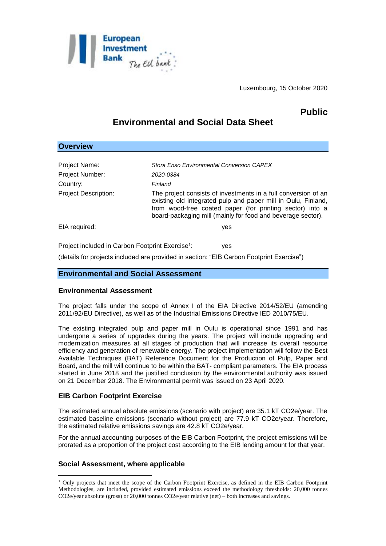

Luxembourg, 15 October 2020

# **Public**

## **Environmental and Social Data Sheet**

| <b>Overview</b>                                              |                                                                                                                                                                                                                                                            |
|--------------------------------------------------------------|------------------------------------------------------------------------------------------------------------------------------------------------------------------------------------------------------------------------------------------------------------|
|                                                              |                                                                                                                                                                                                                                                            |
| Project Name:                                                | Stora Enso Environmental Conversion CAPEX                                                                                                                                                                                                                  |
| <b>Project Number:</b>                                       | 2020-0384                                                                                                                                                                                                                                                  |
| Country:                                                     | Finland                                                                                                                                                                                                                                                    |
| <b>Project Description:</b>                                  | The project consists of investments in a full conversion of an<br>existing old integrated pulp and paper mill in Oulu, Finland,<br>from wood-free coated paper (for printing sector) into a<br>board-packaging mill (mainly for food and beverage sector). |
| EIA required:                                                | yes                                                                                                                                                                                                                                                        |
| Project included in Carbon Footprint Exercise <sup>1</sup> : | yes                                                                                                                                                                                                                                                        |

(details for projects included are provided in section: "EIB Carbon Footprint Exercise")

### **Environmental and Social Assessment**

#### **Environmental Assessment**

The project falls under the scope of Annex I of the EIA Directive 2014/52/EU (amending 2011/92/EU Directive), as well as of the Industrial Emissions Directive IED 2010/75/EU.

The existing integrated pulp and paper mill in Oulu is operational since 1991 and has undergone a series of upgrades during the years. The project will include upgrading and modernization measures at all stages of production that will increase its overall resource efficiency and generation of renewable energy. The project implementation will follow the Best Available Techniques (BAT) Reference Document for the Production of Pulp, Paper and Board, and the mill will continue to be within the BAT- compliant parameters. The EIA process started in June 2018 and the justified conclusion by the environmental authority was issued on 21 December 2018. The Environmental permit was issued on 23 April 2020.

### **EIB Carbon Footprint Exercise**

The estimated annual absolute emissions (scenario with project) are 35.1 kT CO2e/year. The estimated baseline emissions (scenario without project) are 77.9 kT CO2e/year. Therefore, the estimated relative emissions savings are 42.8 kT CO2e/year.

For the annual accounting purposes of the EIB Carbon Footprint, the project emissions will be prorated as a proportion of the project cost according to the EIB lending amount for that year.

### **Social Assessment, where applicable**

1

<sup>1</sup> Only projects that meet the scope of the Carbon Footprint Exercise, as defined in the EIB Carbon Footprint Methodologies, are included, provided estimated emissions exceed the methodology thresholds: 20,000 tonnes CO2e/year absolute (gross) or 20,000 tonnes CO2e/year relative (net) – both increases and savings.